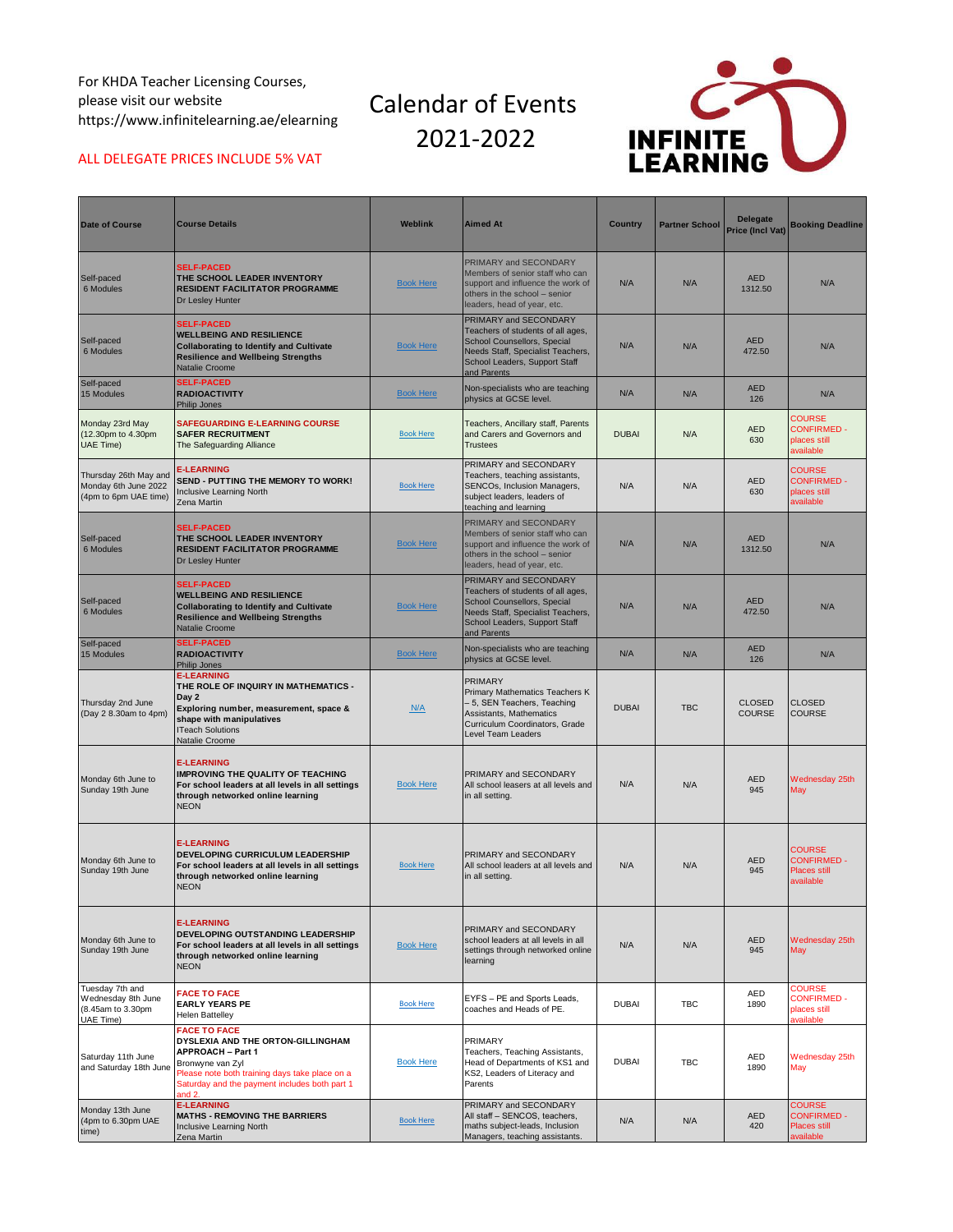For KHDA Teacher Licensing Courses, please visit our website https://www.infinitelearning.ae/elearning

## Calendar of Events 2021-2022



## ALL DELEGATE PRICES INCLUDE 5% VAT

| <b>Date of Course</b>                                                   | <b>Course Details</b>                                                                                                                                                                                                 | <b>Weblink</b>   | <b>Aimed At</b>                                                                                                                                                                | <b>Country</b> | <b>Partner School</b> | <b>Delegate</b><br>Price (Incl Vat) | <b>Booking Deadline</b>                                                 |
|-------------------------------------------------------------------------|-----------------------------------------------------------------------------------------------------------------------------------------------------------------------------------------------------------------------|------------------|--------------------------------------------------------------------------------------------------------------------------------------------------------------------------------|----------------|-----------------------|-------------------------------------|-------------------------------------------------------------------------|
| Self-paced<br>6 Modules                                                 | <b>SELF-PACED</b><br>THE SCHOOL LEADER INVENTORY<br><b>RESIDENT FACILITATOR PROGRAMME</b><br>Dr Lesley Hunter                                                                                                         | <b>Book Here</b> | PRIMARY and SECONDARY<br>Members of senior staff who can<br>support and influence the work of<br>others in the school - senior<br>leaders, head of year, etc.                  | N/A            | N/A                   | <b>AED</b><br>1312.50               | N/A                                                                     |
| Self-paced<br>6 Modules                                                 | <b>SELF-PACED</b><br><b>WELLBEING AND RESILIENCE</b><br><b>Collaborating to Identify and Cultivate</b><br><b>Resilience and Wellbeing Strengths</b><br><b>Natalie Croome</b>                                          | <b>Book Here</b> | PRIMARY and SECONDARY<br>Teachers of students of all ages,<br>School Counsellors, Special<br>Needs Staff, Specialist Teachers,<br>School Leaders, Support Staff<br>and Parents | N/A            | N/A                   | <b>AED</b><br>472.50                | N/A                                                                     |
| Self-paced<br>15 Modules                                                | <b>SELF-PACED</b><br><b>RADIOACTIVITY</b><br>Philip Jones                                                                                                                                                             | <b>Book Here</b> | Non-specialists who are teaching<br>physics at GCSE level.                                                                                                                     | N/A            | N/A                   | <b>AED</b><br>126                   | N/A                                                                     |
| Monday 23rd May<br>(12.30pm to 4.30pm<br>UAE Time)                      | <b>SAFEGUARDING E-LEARNING COURSE</b><br><b>SAFER RECRUITMENT</b><br>The Safeguarding Alliance                                                                                                                        | <b>Book Here</b> | Teachers, Ancillary staff, Parents<br>and Carers and Governors and<br><b>Trustees</b>                                                                                          | <b>DUBAI</b>   | N/A                   | <b>AED</b><br>630                   | <b>COURSE</b><br><b>CONFIRMED -</b><br>places still<br>available        |
| Thursday 26th May and<br>Monday 6th June 2022<br>(4pm to 6pm UAE time)  | <b>E-LEARNING</b><br>SEND - PUTTING THE MEMORY TO WORK!<br><b>Inclusive Learning North</b><br>Zena Martin                                                                                                             | <b>Book Here</b> | PRIMARY and SECONDARY<br>Teachers, teaching assistants,<br>SENCOs, Inclusion Managers,<br>subject leaders, leaders of<br>teaching and learning                                 | N/A            | N/A                   | <b>AED</b><br>630                   | <b>COURSE</b><br><b>CONFIRMED -</b><br>places still<br>available        |
| Self-paced<br>6 Modules                                                 | <b>SELF-PACED</b><br>THE SCHOOL LEADER INVENTORY<br><b>RESIDENT FACILITATOR PROGRAMME</b><br>Dr Lesley Hunter                                                                                                         | <b>Book Here</b> | PRIMARY and SECONDARY<br>Members of senior staff who can<br>support and influence the work of<br>others in the school - senior<br>leaders, head of year, etc.                  | N/A            | N/A                   | <b>AED</b><br>1312.50               | N/A                                                                     |
| Self-paced<br>6 Modules                                                 | <b>SELF-PACED</b><br><b>WELLBEING AND RESILIENCE</b><br><b>Collaborating to Identify and Cultivate</b><br><b>Resilience and Wellbeing Strengths</b><br><b>Natalie Croome</b>                                          | <b>Book Here</b> | PRIMARY and SECONDARY<br>Teachers of students of all ages,<br>School Counsellors, Special<br>Needs Staff, Specialist Teachers,<br>School Leaders, Support Staff<br>and Parents | N/A            | N/A                   | <b>AED</b><br>472.50                | N/A                                                                     |
| Self-paced<br>15 Modules                                                | <b>SELF-PACED</b><br><b>RADIOACTIVITY</b><br><b>Philip Jones</b>                                                                                                                                                      | <b>Book Here</b> | Non-specialists who are teaching<br>physics at GCSE level.                                                                                                                     | N/A            | N/A                   | <b>AED</b><br>126                   | N/A                                                                     |
| Thursday 2nd June<br>(Day 2 8.30am to 4pm)                              | <b>E-LEARNING</b><br>THE ROLE OF INQUIRY IN MATHEMATICS -<br>Day 2<br>Exploring number, measurement, space &<br>shape with manipulatives<br><b>ITeach Solutions</b><br>Natalie Croome                                 | N/A              | PRIMARY<br>Primary Mathematics Teachers K<br>- 5, SEN Teachers, Teaching<br>Assistants, Mathematics<br>Curriculum Coordinators, Grade<br><b>Level Team Leaders</b>             | <b>DUBAI</b>   | <b>TBC</b>            | <b>CLOSED</b><br><b>COURSE</b>      | CLOSED<br><b>COURSE</b>                                                 |
| Monday 6th June to<br>Sunday 19th June                                  | <b>E-LEARNING</b><br><b>IMPROVING THE QUALITY OF TEACHING</b><br>For school leaders at all levels in all settings<br>through networked online learning<br><b>NEON</b>                                                 | <b>Book Here</b> | PRIMARY and SECONDARY<br>All school leasers at all levels and<br>in all setting.                                                                                               | N/A            | N/A                   | <b>AED</b><br>945                   | Wednesday 25th<br>May                                                   |
| Monday 6th June to<br>Sunday 19th June                                  | <b>E-LEARNING</b><br><b>DEVELOPING CURRICULUM LEADERSHIP</b><br>For school leaders at all levels in all settings<br>through networked online learning<br><b>NEON</b>                                                  | <b>Book Here</b> | PRIMARY and SECONDARY<br>All school leaders at all levels and<br>in all setting.                                                                                               | N/A            | N/A                   | <b>AED</b><br>945                   | <b>COURSE</b><br><b>CONFIRMED -</b><br><b>Places still</b><br>available |
| Monday 6th June to<br>Sunday 19th June                                  | <b>E-LEARNING</b><br><b>DEVELOPING OUTSTANDING LEADERSHIP</b><br>For school leaders at all levels in all settings<br>through networked online learning<br><b>NEON</b>                                                 | <b>Book Here</b> | PRIMARY and SECONDARY<br>school leaders at all levels in all<br>settings through networked online<br>learning                                                                  | N/A            | N/A                   | <b>AED</b><br>945                   | Wednesday 25th<br>May                                                   |
| Tuesday 7th and<br>Wednesday 8th June<br>(8.45am to 3.30pm<br>UAE Time) | <b>FACE TO FACE</b><br><b>EARLY YEARS PE</b><br><b>Helen Battelley</b>                                                                                                                                                | <b>Book Here</b> | EYFS - PE and Sports Leads,<br>coaches and Heads of PE.                                                                                                                        | <b>DUBAI</b>   | <b>TBC</b>            | <b>AED</b><br>1890                  | <b>COURSE</b><br><b>CONFIRMED -</b><br>places still<br>available        |
| Saturday 11th June<br>and Saturday 18th June                            | <b>FACE TO FACE</b><br>DYSLEXIA AND THE ORTON-GILLINGHAM<br><b>APPROACH - Part 1</b><br>Bronwyne van Zyl<br>Please note both training days take place on a<br>Saturday and the payment includes both part 1<br>and 2. | <b>Book Here</b> | PRIMARY<br>Teachers, Teaching Assistants,<br>Head of Departments of KS1 and<br>KS2, Leaders of Literacy and<br>Parents                                                         | <b>DUBAI</b>   | <b>TBC</b>            | AED<br>1890                         | Wednesday 25th<br>May                                                   |
| Monday 13th June<br>(4pm to 6.30pm UAE<br>time)                         | <b>E-LEARNING</b><br><b>MATHS - REMOVING THE BARRIERS</b><br>Inclusive Learning North<br>Zena Martin                                                                                                                  | <b>Book Here</b> | PRIMARY and SECONDARY<br>All staff - SENCOS, teachers,<br>maths subject-leads, Inclusion<br>Managers, teaching assistants.                                                     | N/A            | N/A                   | <b>AED</b><br>420                   | <b>COURSE</b><br><b>CONFIRMED -</b><br>Places still<br>available        |